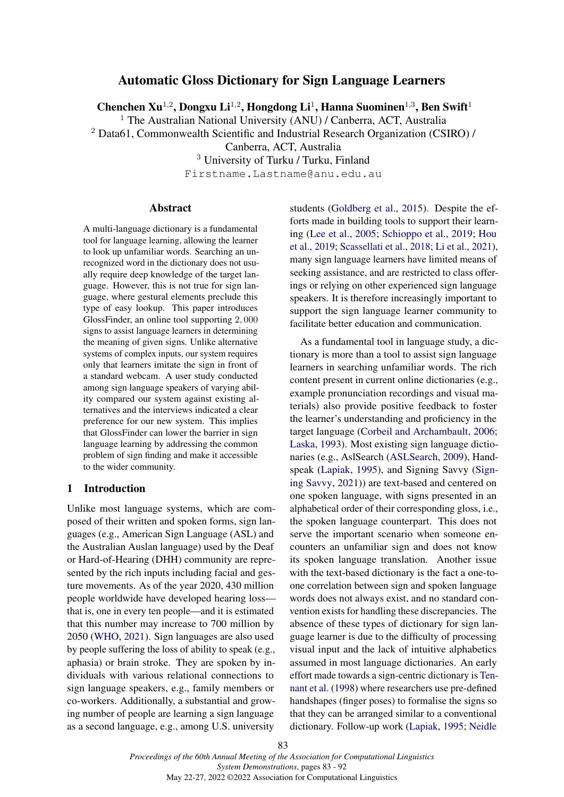# Automatic Gloss Dictionary for Sign Language Learners

Chenchen Xu<sup>1,2</sup>, Dongxu Li<sup>1,2</sup>, Hongdong Li<sup>1</sup>, Hanna Suominen<sup>1,3</sup>, Ben Swift<sup>1</sup>

<sup>1</sup> The Australian National University (ANU) / Canberra, ACT, Australia

<sup>2</sup> Data61, Commonwealth Scientific and Industrial Research Organization (CSIRO) /

Canberra, ACT, Australia

<sup>3</sup> University of Turku / Turku, Finland

Firstname.Lastname@anu.edu.au

#### Abstract

A multi-language dictionary is a fundamental tool for language learning, allowing the learner to look up unfamiliar words. Searching an unrecognized word in the dictionary does not usually require deep knowledge of the target language. However, this is not true for sign language, where gestural elements preclude this type of easy lookup. This paper introduces GlossFinder, an online tool supporting 2, 000 signs to assist language learners in determining the meaning of given signs. Unlike alternative systems of complex inputs, our system requires only that learners imitate the sign in front of a standard webcam. A user study conducted among sign language speakers of varying ability compared our system against existing alternatives and the interviews indicated a clear preference for our new system. This implies that GlossFinder can lower the barrier in sign language learning by addressing the common problem of sign finding and make it accessible to the wider community.

### 1 Introduction

Unlike most language systems, which are composed of their written and spoken forms, sign languages (e.g., American Sign Language (ASL) and the Australian Auslan language) used by the Deaf or Hard-of-Hearing (DHH) community are represented by the rich inputs including facial and gesture movements. As of the year 2020, 430 million people worldwide have developed hearing loss that is, one in every ten people—and it is estimated that this number may increase to 700 million by 2050 [\(WHO,](#page-7-0) [2021\)](#page-7-0). Sign languages are also used by people suffering the loss of ability to speak (e.g., aphasia) or brain stroke. They are spoken by individuals with various relational connections to sign language speakers, e.g., family members or co-workers. Additionally, a substantial and growing number of people are learning a sign language as a second language, e.g., among U.S. university

students [\(Goldberg et al.,](#page-7-1) [2015\)](#page-7-1). Despite the efforts made in building tools to support their learning [\(Lee et al.,](#page-7-2) [2005;](#page-7-2) [Schioppo et al.,](#page-7-3) [2019;](#page-7-3) [Hou](#page-7-4) [et al.,](#page-7-4) [2019;](#page-7-4) [Scassellati et al.,](#page-7-5) [2018;](#page-7-5) [Li et al.,](#page-7-6) [2021\)](#page-7-6), many sign language learners have limited means of seeking assistance, and are restricted to class offerings or relying on other experienced sign language speakers. It is therefore increasingly important to support the sign language learner community to facilitate better education and communication.

As a fundamental tool in language study, a dictionary is more than a tool to assist sign language learners in searching unfamiliar words. The rich content present in current online dictionaries (e.g., example pronunciation recordings and visual materials) also provide positive feedback to foster the learner's understanding and proficiency in the target language [\(Corbeil and Archambault,](#page-6-0) [2006;](#page-6-0) [Laska,](#page-7-7) [1993\)](#page-7-7). Most existing sign language dictionaries (e.g., AslSearch [\(ASLSearch,](#page-6-1) [2009\)](#page-6-1), Handspeak [\(Lapiak,](#page-7-8) [1995\)](#page-7-8), and Signing Savvy [\(Sign](#page-7-9)[ing Savvy,](#page-7-9) [2021\)](#page-7-9)) are text-based and centered on one spoken language, with signs presented in an alphabetical order of their corresponding gloss, i.e., the spoken language counterpart. This does not serve the important scenario when someone encounters an unfamiliar sign and does not know its spoken language translation. Another issue with the text-based dictionary is the fact a one-toone correlation between sign and spoken language words does not always exist, and no standard convention exists for handling these discrepancies. The absence of these types of dictionary for sign language learner is due to the difficulty of processing visual input and the lack of intuitive alphabetics assumed in most language dictionaries. An early effort made towards a sign-centric dictionary is [Ten](#page-7-10)[nant et al.](#page-7-10) [\(1998\)](#page-7-10) where researchers use pre-defined handshapes (finger poses) to formalise the signs so that they can be arranged similar to a conventional dictionary. Follow-up work [\(Lapiak,](#page-7-8) [1995;](#page-7-8) [Neidle](#page-7-11)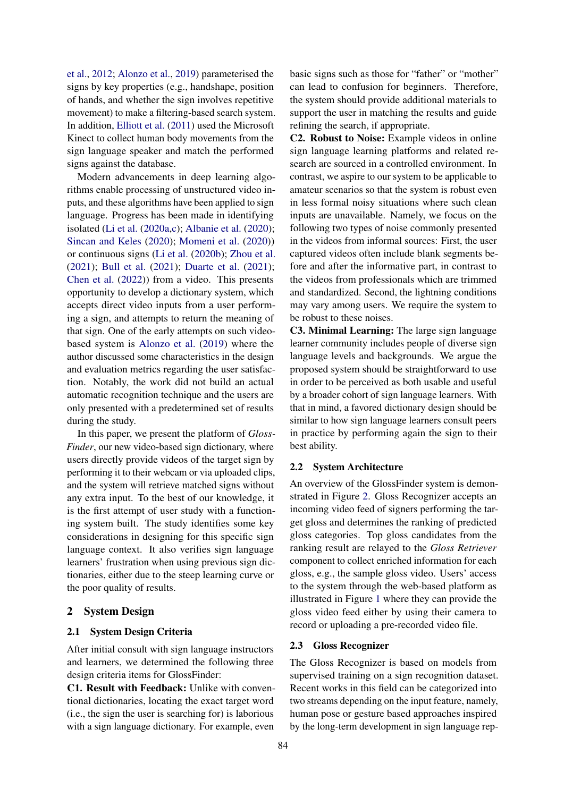[et al.,](#page-7-11) [2012;](#page-7-11) [Alonzo et al.,](#page-6-2) [2019\)](#page-6-2) parameterised the signs by key properties (e.g., handshape, position of hands, and whether the sign involves repetitive movement) to make a filtering-based search system. In addition, [Elliott et al.](#page-6-3) [\(2011\)](#page-6-3) used the Microsoft Kinect to collect human body movements from the sign language speaker and match the performed signs against the database.

Modern advancements in deep learning algorithms enable processing of unstructured video inputs, and these algorithms have been applied to sign language. Progress has been made in identifying isolated [\(Li et al.](#page-7-12) [\(2020a,](#page-7-12)[c\)](#page-7-13); [Albanie et al.](#page-6-4) [\(2020\)](#page-6-4); [Sincan and Keles](#page-7-14) [\(2020\)](#page-7-14); [Momeni et al.](#page-7-15) [\(2020\)](#page-7-15)) or continuous signs [\(Li et al.](#page-7-16) [\(2020b\)](#page-7-16); [Zhou et al.](#page-7-17) [\(2021\)](#page-7-17); [Bull et al.](#page-6-5) [\(2021\)](#page-6-5); [Duarte et al.](#page-6-6) [\(2021\)](#page-6-6); [Chen et al.](#page-6-7) [\(2022\)](#page-6-7)) from a video. This presents opportunity to develop a dictionary system, which accepts direct video inputs from a user performing a sign, and attempts to return the meaning of that sign. One of the early attempts on such videobased system is [Alonzo et al.](#page-6-2) [\(2019\)](#page-6-2) where the author discussed some characteristics in the design and evaluation metrics regarding the user satisfaction. Notably, the work did not build an actual automatic recognition technique and the users are only presented with a predetermined set of results during the study.

In this paper, we present the platform of *Gloss-Finder*, our new video-based sign dictionary, where users directly provide videos of the target sign by performing it to their webcam or via uploaded clips, and the system will retrieve matched signs without any extra input. To the best of our knowledge, it is the first attempt of user study with a functioning system built. The study identifies some key considerations in designing for this specific sign language context. It also verifies sign language learners' frustration when using previous sign dictionaries, either due to the steep learning curve or the poor quality of results.

### <span id="page-1-0"></span>2 System Design

### 2.1 System Design Criteria

After initial consult with sign language instructors and learners, we determined the following three design criteria items for GlossFinder:

C1. Result with Feedback: Unlike with conventional dictionaries, locating the exact target word (i.e., the sign the user is searching for) is laborious with a sign language dictionary. For example, even

basic signs such as those for "father" or "mother" can lead to confusion for beginners. Therefore, the system should provide additional materials to support the user in matching the results and guide refining the search, if appropriate.

C2. Robust to Noise: Example videos in online sign language learning platforms and related research are sourced in a controlled environment. In contrast, we aspire to our system to be applicable to amateur scenarios so that the system is robust even in less formal noisy situations where such clean inputs are unavailable. Namely, we focus on the following two types of noise commonly presented in the videos from informal sources: First, the user captured videos often include blank segments before and after the informative part, in contrast to the videos from professionals which are trimmed and standardized. Second, the lightning conditions may vary among users. We require the system to be robust to these noises.

C3. Minimal Learning: The large sign language learner community includes people of diverse sign language levels and backgrounds. We argue the proposed system should be straightforward to use in order to be perceived as both usable and useful by a broader cohort of sign language learners. With that in mind, a favored dictionary design should be similar to how sign language learners consult peers in practice by performing again the sign to their best ability.

#### 2.2 System Architecture

An overview of the GlossFinder system is demonstrated in Figure [2.](#page-3-0) Gloss Recognizer accepts an incoming video feed of signers performing the target gloss and determines the ranking of predicted gloss categories. Top gloss candidates from the ranking result are relayed to the *Gloss Retriever* component to collect enriched information for each gloss, e.g., the sample gloss video. Users' access to the system through the web-based platform as illustrated in Figure [1](#page-2-0) where they can provide the gloss video feed either by using their camera to record or uploading a pre-recorded video file.

## 2.3 Gloss Recognizer

The Gloss Recognizer is based on models from supervised training on a sign recognition dataset. Recent works in this field can be categorized into two streams depending on the input feature, namely, human pose or gesture based approaches inspired by the long-term development in sign language rep-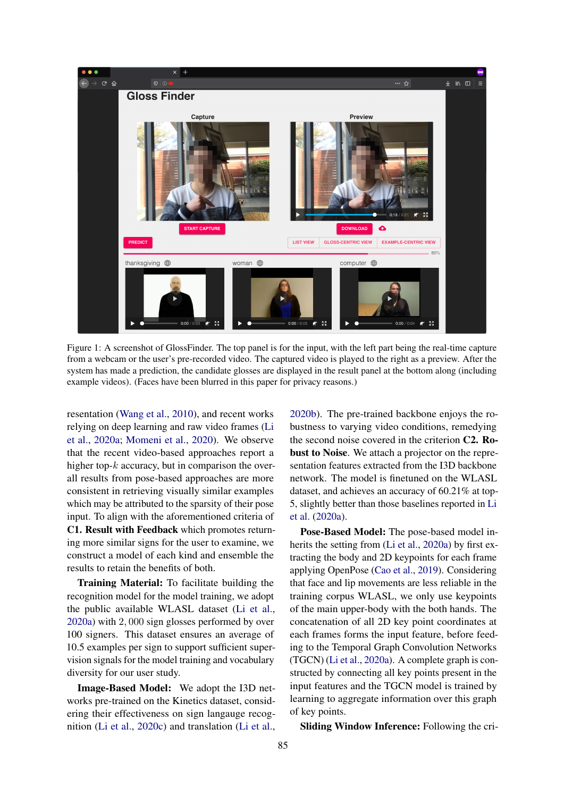<span id="page-2-0"></span>

Figure 1: A screenshot of GlossFinder. The top panel is for the input, with the left part being the real-time capture from a webcam or the user's pre-recorded video. The captured video is played to the right as a preview. After the system has made a prediction, the candidate glosses are displayed in the result panel at the bottom along (including example videos). (Faces have been blurred in this paper for privacy reasons.)

resentation [\(Wang et al.,](#page-7-18) [2010\)](#page-7-18), and recent works relying on deep learning and raw video frames [\(Li](#page-7-12) [et al.,](#page-7-12) [2020a;](#page-7-12) [Momeni et al.,](#page-7-15) [2020\)](#page-7-15). We observe that the recent video-based approaches report a higher top- $k$  accuracy, but in comparison the overall results from pose-based approaches are more consistent in retrieving visually similar examples which may be attributed to the sparsity of their pose input. To align with the aforementioned criteria of C1. Result with Feedback which promotes returning more similar signs for the user to examine, we construct a model of each kind and ensemble the results to retain the benefits of both.

Training Material: To facilitate building the recognition model for the model training, we adopt the public available WLASL dataset [\(Li et al.,](#page-7-12) [2020a\)](#page-7-12) with 2, 000 sign glosses performed by over 100 signers. This dataset ensures an average of 10.5 examples per sign to support sufficient supervision signals for the model training and vocabulary diversity for our user study.

Image-Based Model: We adopt the I3D networks pre-trained on the Kinetics dataset, considering their effectiveness on sign langauge recognition [\(Li et al.,](#page-7-13) [2020c\)](#page-7-13) and translation [\(Li et al.,](#page-7-16) [2020b\)](#page-7-16). The pre-trained backbone enjoys the robustness to varying video conditions, remedying the second noise covered in the criterion C2. Robust to Noise. We attach a projector on the representation features extracted from the I3D backbone network. The model is finetuned on the WLASL dataset, and achieves an accuracy of 60.21% at top-5, slightly better than those baselines reported in [Li](#page-7-12) [et al.](#page-7-12) [\(2020a\)](#page-7-12).

Pose-Based Model: The pose-based model inherits the setting from [\(Li et al.,](#page-7-12) [2020a\)](#page-7-12) by first extracting the body and 2D keypoints for each frame applying OpenPose [\(Cao et al.,](#page-6-8) [2019\)](#page-6-8). Considering that face and lip movements are less reliable in the training corpus WLASL, we only use keypoints of the main upper-body with the both hands. The concatenation of all 2D key point coordinates at each frames forms the input feature, before feeding to the Temporal Graph Convolution Networks (TGCN) [\(Li et al.,](#page-7-12) [2020a\)](#page-7-12). A complete graph is constructed by connecting all key points present in the input features and the TGCN model is trained by learning to aggregate information over this graph of key points.

Sliding Window Inference: Following the cri-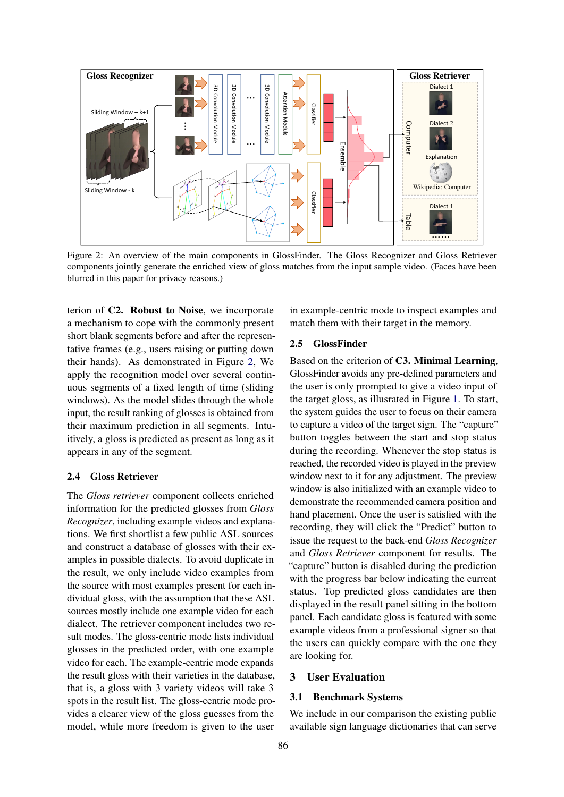<span id="page-3-0"></span>

Figure 2: An overview of the main components in GlossFinder. The Gloss Recognizer and Gloss Retriever components jointly generate the enriched view of gloss matches from the input sample video. (Faces have been blurred in this paper for privacy reasons.)

terion of C2. Robust to Noise, we incorporate a mechanism to cope with the commonly present short blank segments before and after the representative frames (e.g., users raising or putting down their hands). As demonstrated in Figure [2,](#page-3-0) We apply the recognition model over several continuous segments of a fixed length of time (sliding windows). As the model slides through the whole input, the result ranking of glosses is obtained from their maximum prediction in all segments. Intuitively, a gloss is predicted as present as long as it appears in any of the segment.

## 2.4 Gloss Retriever

The *Gloss retriever* component collects enriched information for the predicted glosses from *Gloss Recognizer*, including example videos and explanations. We first shortlist a few public ASL sources and construct a database of glosses with their examples in possible dialects. To avoid duplicate in the result, we only include video examples from the source with most examples present for each individual gloss, with the assumption that these ASL sources mostly include one example video for each dialect. The retriever component includes two result modes. The gloss-centric mode lists individual glosses in the predicted order, with one example video for each. The example-centric mode expands the result gloss with their varieties in the database, that is, a gloss with 3 variety videos will take 3 spots in the result list. The gloss-centric mode provides a clearer view of the gloss guesses from the model, while more freedom is given to the user

in example-centric mode to inspect examples and match them with their target in the memory.

#### 2.5 GlossFinder

Based on the criterion of C3. Minimal Learning, GlossFinder avoids any pre-defined parameters and the user is only prompted to give a video input of the target gloss, as illusrated in Figure [1.](#page-2-0) To start, the system guides the user to focus on their camera to capture a video of the target sign. The "capture" button toggles between the start and stop status during the recording. Whenever the stop status is reached, the recorded video is played in the preview window next to it for any adjustment. The preview window is also initialized with an example video to demonstrate the recommended camera position and hand placement. Once the user is satisfied with the recording, they will click the "Predict" button to issue the request to the back-end *Gloss Recognizer* and *Gloss Retriever* component for results. The "capture" button is disabled during the prediction with the progress bar below indicating the current status. Top predicted gloss candidates are then displayed in the result panel sitting in the bottom panel. Each candidate gloss is featured with some example videos from a professional signer so that the users can quickly compare with the one they are looking for.

### 3 User Evaluation

#### 3.1 Benchmark Systems

We include in our comparison the existing public available sign language dictionaries that can serve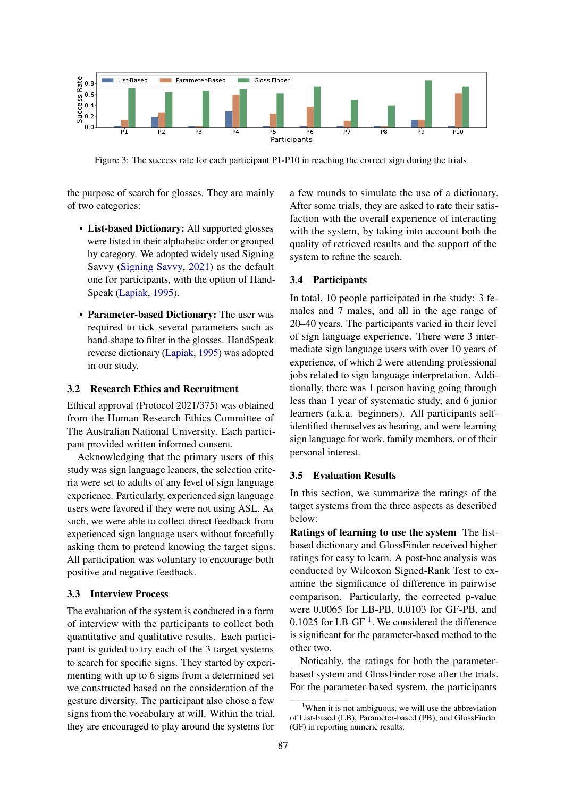<span id="page-4-1"></span>

Figure 3: The success rate for each participant P1-P10 in reaching the correct sign during the trials.

the purpose of search for glosses. They are mainly of two categories:

- List-based Dictionary: All supported glosses were listed in their alphabetic order or grouped by category. We adopted widely used Signing Savvy [\(Signing Savvy,](#page-7-9) [2021\)](#page-7-9) as the default one for participants, with the option of Hand-Speak [\(Lapiak,](#page-7-8) [1995\)](#page-7-8).
- Parameter-based Dictionary: The user was required to tick several parameters such as hand-shape to filter in the glosses. HandSpeak reverse dictionary [\(Lapiak,](#page-7-8) [1995\)](#page-7-8) was adopted in our study.

## 3.2 Research Ethics and Recruitment

Ethical approval (Protocol 2021/375) was obtained from the Human Research Ethics Committee of The Australian National University. Each participant provided written informed consent.

Acknowledging that the primary users of this study was sign language leaners, the selection criteria were set to adults of any level of sign language experience. Particularly, experienced sign language users were favored if they were not using ASL. As such, we were able to collect direct feedback from experienced sign language users without forcefully asking them to pretend knowing the target signs. All participation was voluntary to encourage both positive and negative feedback.

### 3.3 Interview Process

The evaluation of the system is conducted in a form of interview with the participants to collect both quantitative and qualitative results. Each participant is guided to try each of the 3 target systems to search for specific signs. They started by experimenting with up to 6 signs from a determined set we constructed based on the consideration of the gesture diversity. The participant also chose a few signs from the vocabulary at will. Within the trial, they are encouraged to play around the systems for

a few rounds to simulate the use of a dictionary. After some trials, they are asked to rate their satisfaction with the overall experience of interacting with the system, by taking into account both the quality of retrieved results and the support of the system to refine the search.

### 3.4 Participants

In total, 10 people participated in the study: 3 females and 7 males, and all in the age range of 20–40 years. The participants varied in their level of sign language experience. There were 3 intermediate sign language users with over 10 years of experience, of which 2 were attending professional jobs related to sign language interpretation. Additionally, there was 1 person having going through less than 1 year of systematic study, and 6 junior learners (a.k.a. beginners). All participants selfidentified themselves as hearing, and were learning sign language for work, family members, or of their personal interest.

### 3.5 Evaluation Results

In this section, we summarize the ratings of the target systems from the three aspects as described below:

Ratings of learning to use the system The listbased dictionary and GlossFinder received higher ratings for easy to learn. A post-hoc analysis was conducted by Wilcoxon Signed-Rank Test to examine the significance of difference in pairwise comparison. Particularly, the corrected p-value were 0.0065 for LB-PB, 0.0103 for GF-PB, and 0.[1](#page-4-0)025 for LB-GF $<sup>1</sup>$ . We considered the difference</sup> is significant for the parameter-based method to the other two.

Noticably, the ratings for both the parameterbased system and GlossFinder rose after the trials. For the parameter-based system, the participants

<span id="page-4-0"></span><sup>&</sup>lt;sup>1</sup>When it is not ambiguous, we will use the abbreviation of List-based (LB), Parameter-based (PB), and GlossFinder (GF) in reporting numeric results.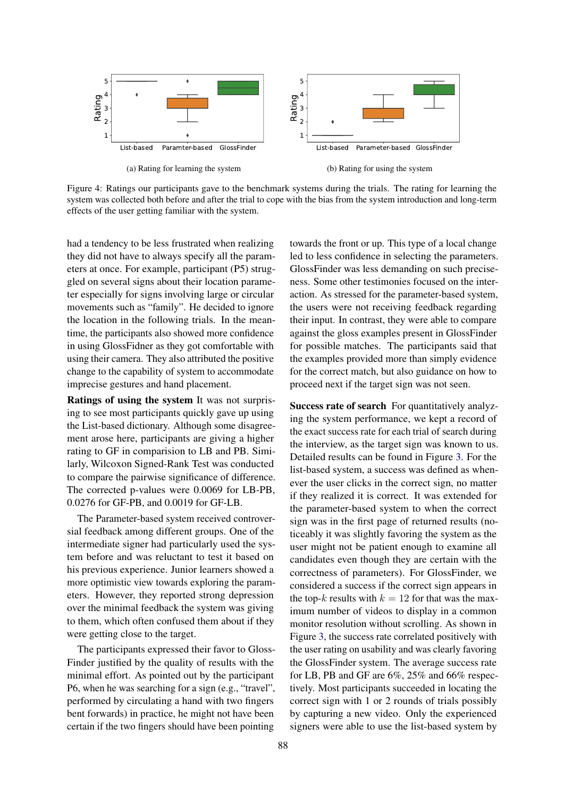

Figure 4: Ratings our participants gave to the benchmark systems during the trials. The rating for learning the system was collected both before and after the trial to cope with the bias from the system introduction and long-term effects of the user getting familiar with the system.

had a tendency to be less frustrated when realizing they did not have to always specify all the parameters at once. For example, participant (P5) struggled on several signs about their location parameter especially for signs involving large or circular movements such as "family". He decided to ignore the location in the following trials. In the meantime, the participants also showed more confidence in using GlossFidner as they got comfortable with using their camera. They also attributed the positive change to the capability of system to accommodate imprecise gestures and hand placement.

Ratings of using the system It was not surprising to see most participants quickly gave up using the List-based dictionary. Although some disagreement arose here, participants are giving a higher rating to GF in comparision to LB and PB. Similarly, Wilcoxon Signed-Rank Test was conducted to compare the pairwise significance of difference. The corrected p-values were 0.0069 for LB-PB, 0.0276 for GF-PB, and 0.0019 for GF-LB.

The Parameter-based system received controversial feedback among different groups. One of the intermediate signer had particularly used the system before and was reluctant to test it based on his previous experience. Junior learners showed a more optimistic view towards exploring the parameters. However, they reported strong depression over the minimal feedback the system was giving to them, which often confused them about if they were getting close to the target.

The participants expressed their favor to Gloss-Finder justified by the quality of results with the minimal effort. As pointed out by the participant P6, when he was searching for a sign (e.g., "travel", performed by circulating a hand with two fingers bent forwards) in practice, he might not have been certain if the two fingers should have been pointing

towards the front or up. This type of a local change led to less confidence in selecting the parameters. GlossFinder was less demanding on such preciseness. Some other testimonies focused on the interaction. As stressed for the parameter-based system, the users were not receiving feedback regarding their input. In contrast, they were able to compare against the gloss examples present in GlossFinder for possible matches. The participants said that the examples provided more than simply evidence for the correct match, but also guidance on how to proceed next if the target sign was not seen.

Success rate of search For quantitatively analyzing the system performance, we kept a record of the exact success rate for each trial of search during the interview, as the target sign was known to us. Detailed results can be found in Figure [3.](#page-4-1) For the list-based system, a success was defined as whenever the user clicks in the correct sign, no matter if they realized it is correct. It was extended for the parameter-based system to when the correct sign was in the first page of returned results (noticeably it was slightly favoring the system as the user might not be patient enough to examine all candidates even though they are certain with the correctness of parameters). For GlossFinder, we considered a success if the correct sign appears in the top-k results with  $k = 12$  for that was the maximum number of videos to display in a common monitor resolution without scrolling. As shown in Figure [3,](#page-4-1) the success rate correlated positively with the user rating on usability and was clearly favoring the GlossFinder system. The average success rate for LB, PB and GF are 6%, 25% and 66% respectively. Most participants succeeded in locating the correct sign with 1 or 2 rounds of trials possibly by capturing a new video. Only the experienced signers were able to use the list-based system by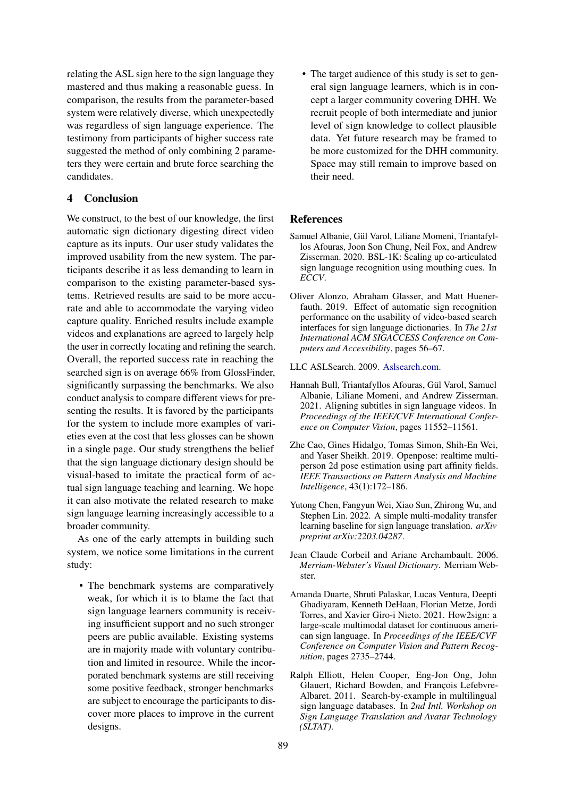relating the ASL sign here to the sign language they mastered and thus making a reasonable guess. In comparison, the results from the parameter-based system were relatively diverse, which unexpectedly was regardless of sign language experience. The testimony from participants of higher success rate suggested the method of only combining 2 parameters they were certain and brute force searching the candidates.

# 4 Conclusion

We construct, to the best of our knowledge, the first automatic sign dictionary digesting direct video capture as its inputs. Our user study validates the improved usability from the new system. The participants describe it as less demanding to learn in comparison to the existing parameter-based systems. Retrieved results are said to be more accurate and able to accommodate the varying video capture quality. Enriched results include example videos and explanations are agreed to largely help the user in correctly locating and refining the search. Overall, the reported success rate in reaching the searched sign is on average 66% from GlossFinder, significantly surpassing the benchmarks. We also conduct analysis to compare different views for presenting the results. It is favored by the participants for the system to include more examples of varieties even at the cost that less glosses can be shown in a single page. Our study strengthens the belief that the sign language dictionary design should be visual-based to imitate the practical form of actual sign language teaching and learning. We hope it can also motivate the related research to make sign language learning increasingly accessible to a broader community.

As one of the early attempts in building such system, we notice some limitations in the current study:

• The benchmark systems are comparatively weak, for which it is to blame the fact that sign language learners community is receiving insufficient support and no such stronger peers are public available. Existing systems are in majority made with voluntary contribution and limited in resource. While the incorporated benchmark systems are still receiving some positive feedback, stronger benchmarks are subject to encourage the participants to discover more places to improve in the current designs.

• The target audience of this study is set to general sign language learners, which is in concept a larger community covering DHH. We recruit people of both intermediate and junior level of sign knowledge to collect plausible data. Yet future research may be framed to be more customized for the DHH community. Space may still remain to improve based on their need.

## References

- <span id="page-6-4"></span>Samuel Albanie, Gül Varol, Liliane Momeni, Triantafyllos Afouras, Joon Son Chung, Neil Fox, and Andrew Zisserman. 2020. BSL-1K: Scaling up co-articulated sign language recognition using mouthing cues. In *ECCV*.
- <span id="page-6-2"></span>Oliver Alonzo, Abraham Glasser, and Matt Huenerfauth. 2019. Effect of automatic sign recognition performance on the usability of video-based search interfaces for sign language dictionaries. In *The 21st International ACM SIGACCESS Conference on Computers and Accessibility*, pages 56–67.
- <span id="page-6-1"></span>LLC ASLSearch. 2009. [Aslsearch.com.](http://www.aslsearch.com/)
- <span id="page-6-5"></span>Hannah Bull, Triantafyllos Afouras, Gül Varol, Samuel Albanie, Liliane Momeni, and Andrew Zisserman. 2021. Aligning subtitles in sign language videos. In *Proceedings of the IEEE/CVF International Conference on Computer Vision*, pages 11552–11561.
- <span id="page-6-8"></span>Zhe Cao, Gines Hidalgo, Tomas Simon, Shih-En Wei, and Yaser Sheikh. 2019. Openpose: realtime multiperson 2d pose estimation using part affinity fields. *IEEE Transactions on Pattern Analysis and Machine Intelligence*, 43(1):172–186.
- <span id="page-6-7"></span>Yutong Chen, Fangyun Wei, Xiao Sun, Zhirong Wu, and Stephen Lin. 2022. A simple multi-modality transfer learning baseline for sign language translation. *arXiv preprint arXiv:2203.04287*.
- <span id="page-6-0"></span>Jean Claude Corbeil and Ariane Archambault. 2006. *Merriam-Webster's Visual Dictionary*. Merriam Webster.
- <span id="page-6-6"></span>Amanda Duarte, Shruti Palaskar, Lucas Ventura, Deepti Ghadiyaram, Kenneth DeHaan, Florian Metze, Jordi Torres, and Xavier Giro-i Nieto. 2021. How2sign: a large-scale multimodal dataset for continuous american sign language. In *Proceedings of the IEEE/CVF Conference on Computer Vision and Pattern Recognition*, pages 2735–2744.
- <span id="page-6-3"></span>Ralph Elliott, Helen Cooper, Eng-Jon Ong, John Glauert, Richard Bowden, and François Lefebvre-Albaret. 2011. Search-by-example in multilingual sign language databases. In *2nd Intl. Workshop on Sign Language Translation and Avatar Technology (SLTAT)*.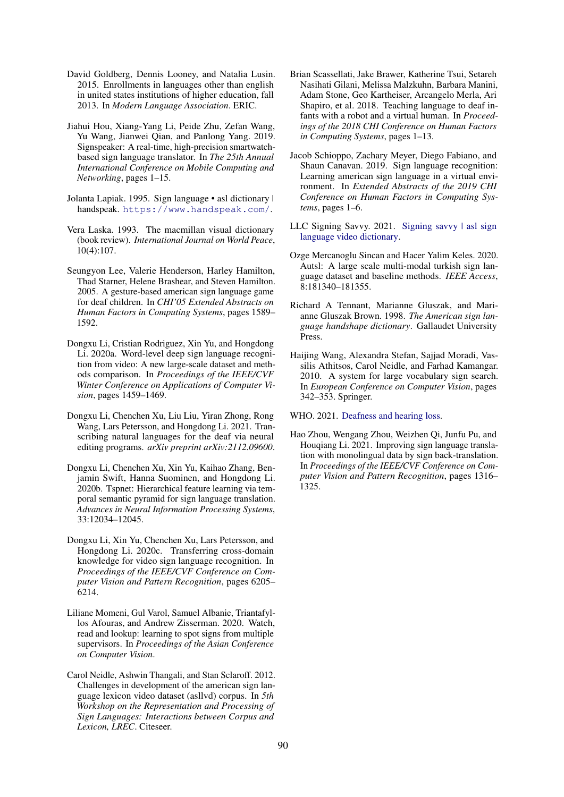- <span id="page-7-1"></span>David Goldberg, Dennis Looney, and Natalia Lusin. 2015. Enrollments in languages other than english in united states institutions of higher education, fall 2013. In *Modern Language Association*. ERIC.
- <span id="page-7-4"></span>Jiahui Hou, Xiang-Yang Li, Peide Zhu, Zefan Wang, Yu Wang, Jianwei Qian, and Panlong Yang. 2019. Signspeaker: A real-time, high-precision smartwatchbased sign language translator. In *The 25th Annual International Conference on Mobile Computing and Networking*, pages 1–15.
- <span id="page-7-8"></span>Jolanta Lapiak. 1995. Sign language • asl dictionary | handspeak. <https://www.handspeak.com/>.
- <span id="page-7-7"></span>Vera Laska. 1993. The macmillan visual dictionary (book review). *International Journal on World Peace*, 10(4):107.
- <span id="page-7-2"></span>Seungyon Lee, Valerie Henderson, Harley Hamilton, Thad Starner, Helene Brashear, and Steven Hamilton. 2005. A gesture-based american sign language game for deaf children. In *CHI'05 Extended Abstracts on Human Factors in Computing Systems*, pages 1589– 1592.
- <span id="page-7-12"></span>Dongxu Li, Cristian Rodriguez, Xin Yu, and Hongdong Li. 2020a. Word-level deep sign language recognition from video: A new large-scale dataset and methods comparison. In *Proceedings of the IEEE/CVF Winter Conference on Applications of Computer Vision*, pages 1459–1469.
- <span id="page-7-6"></span>Dongxu Li, Chenchen Xu, Liu Liu, Yiran Zhong, Rong Wang, Lars Petersson, and Hongdong Li. 2021. Transcribing natural languages for the deaf via neural editing programs. *arXiv preprint arXiv:2112.09600*.
- <span id="page-7-16"></span>Dongxu Li, Chenchen Xu, Xin Yu, Kaihao Zhang, Benjamin Swift, Hanna Suominen, and Hongdong Li. 2020b. Tspnet: Hierarchical feature learning via temporal semantic pyramid for sign language translation. *Advances in Neural Information Processing Systems*, 33:12034–12045.
- <span id="page-7-13"></span>Dongxu Li, Xin Yu, Chenchen Xu, Lars Petersson, and Hongdong Li. 2020c. Transferring cross-domain knowledge for video sign language recognition. In *Proceedings of the IEEE/CVF Conference on Computer Vision and Pattern Recognition*, pages 6205– 6214.
- <span id="page-7-15"></span>Liliane Momeni, Gul Varol, Samuel Albanie, Triantafyllos Afouras, and Andrew Zisserman. 2020. Watch, read and lookup: learning to spot signs from multiple supervisors. In *Proceedings of the Asian Conference on Computer Vision*.
- <span id="page-7-11"></span>Carol Neidle, Ashwin Thangali, and Stan Sclaroff. 2012. Challenges in development of the american sign language lexicon video dataset (asllvd) corpus. In *5th Workshop on the Representation and Processing of Sign Languages: Interactions between Corpus and Lexicon, LREC*. Citeseer.
- <span id="page-7-5"></span>Brian Scassellati, Jake Brawer, Katherine Tsui, Setareh Nasihati Gilani, Melissa Malzkuhn, Barbara Manini, Adam Stone, Geo Kartheiser, Arcangelo Merla, Ari Shapiro, et al. 2018. Teaching language to deaf infants with a robot and a virtual human. In *Proceedings of the 2018 CHI Conference on Human Factors in Computing Systems*, pages 1–13.
- <span id="page-7-3"></span>Jacob Schioppo, Zachary Meyer, Diego Fabiano, and Shaun Canavan. 2019. Sign language recognition: Learning american sign language in a virtual environment. In *Extended Abstracts of the 2019 CHI Conference on Human Factors in Computing Systems*, pages 1–6.
- <span id="page-7-9"></span>LLC Signing Savvy. 2021. [Signing savvy | asl sign](https://www.signingsavvy.com/) [language video dictionary.](https://www.signingsavvy.com/)
- <span id="page-7-14"></span>Ozge Mercanoglu Sincan and Hacer Yalim Keles. 2020. Autsl: A large scale multi-modal turkish sign language dataset and baseline methods. *IEEE Access*, 8:181340–181355.
- <span id="page-7-10"></span>Richard A Tennant, Marianne Gluszak, and Marianne Gluszak Brown. 1998. *The American sign language handshape dictionary*. Gallaudet University Press.
- <span id="page-7-18"></span>Haijing Wang, Alexandra Stefan, Sajjad Moradi, Vassilis Athitsos, Carol Neidle, and Farhad Kamangar. 2010. A system for large vocabulary sign search. In *European Conference on Computer Vision*, pages 342–353. Springer.

<span id="page-7-0"></span>WHO. 2021. [Deafness and hearing loss.](https://www.who.int/news-room/fact-sheets/detail/deafness-and-hearing-loss)

<span id="page-7-17"></span>Hao Zhou, Wengang Zhou, Weizhen Qi, Junfu Pu, and Houqiang Li. 2021. Improving sign language translation with monolingual data by sign back-translation. In *Proceedings of the IEEE/CVF Conference on Computer Vision and Pattern Recognition*, pages 1316– 1325.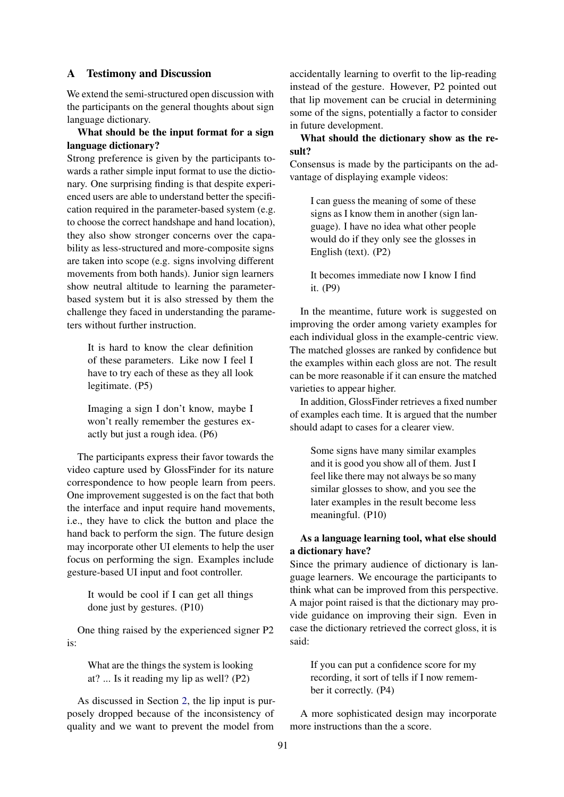## A Testimony and Discussion

We extend the semi-structured open discussion with the participants on the general thoughts about sign language dictionary.

# What should be the input format for a sign language dictionary?

Strong preference is given by the participants towards a rather simple input format to use the dictionary. One surprising finding is that despite experienced users are able to understand better the specification required in the parameter-based system (e.g. to choose the correct handshape and hand location), they also show stronger concerns over the capability as less-structured and more-composite signs are taken into scope (e.g. signs involving different movements from both hands). Junior sign learners show neutral altitude to learning the parameterbased system but it is also stressed by them the challenge they faced in understanding the parameters without further instruction.

It is hard to know the clear definition of these parameters. Like now I feel I have to try each of these as they all look legitimate. (P5)

Imaging a sign I don't know, maybe I won't really remember the gestures exactly but just a rough idea. (P6)

The participants express their favor towards the video capture used by GlossFinder for its nature correspondence to how people learn from peers. One improvement suggested is on the fact that both the interface and input require hand movements, i.e., they have to click the button and place the hand back to perform the sign. The future design may incorporate other UI elements to help the user focus on performing the sign. Examples include gesture-based UI input and foot controller.

It would be cool if I can get all things done just by gestures. (P10)

One thing raised by the experienced signer P2 is:

> What are the things the system is looking at? ... Is it reading my lip as well? (P2)

As discussed in Section [2,](#page-1-0) the lip input is purposely dropped because of the inconsistency of quality and we want to prevent the model from

accidentally learning to overfit to the lip-reading instead of the gesture. However, P2 pointed out that lip movement can be crucial in determining some of the signs, potentially a factor to consider in future development.

# What should the dictionary show as the result?

Consensus is made by the participants on the advantage of displaying example videos:

> I can guess the meaning of some of these signs as I know them in another (sign language). I have no idea what other people would do if they only see the glosses in English (text). (P2)

> It becomes immediate now I know I find it. (P9)

In the meantime, future work is suggested on improving the order among variety examples for each individual gloss in the example-centric view. The matched glosses are ranked by confidence but the examples within each gloss are not. The result can be more reasonable if it can ensure the matched varieties to appear higher.

In addition, GlossFinder retrieves a fixed number of examples each time. It is argued that the number should adapt to cases for a clearer view.

> Some signs have many similar examples and it is good you show all of them. Just I feel like there may not always be so many similar glosses to show, and you see the later examples in the result become less meaningful. (P10)

# As a language learning tool, what else should a dictionary have?

Since the primary audience of dictionary is language learners. We encourage the participants to think what can be improved from this perspective. A major point raised is that the dictionary may provide guidance on improving their sign. Even in case the dictionary retrieved the correct gloss, it is said:

> If you can put a confidence score for my recording, it sort of tells if I now remember it correctly. (P4)

A more sophisticated design may incorporate more instructions than the a score.